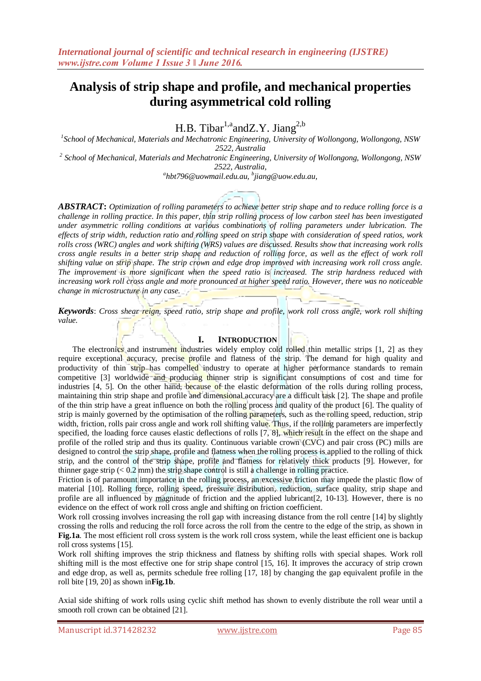H.B. Tibar<sup>1,a</sup>andZ.Y. Jiang<sup>2,b</sup>

*1 School of Mechanical, Materials and Mechatronic Engineering, University of Wollongong, Wollongong, NSW 2522, Australia*

*2 School of Mechanical, Materials and Mechatronic Engineering, University of Wollongong, Wollongong, NSW 2522, Australia,* 

*a hbt796@uowmail.edu.au, <sup>b</sup> jiang@uow.edu.au,*

*ABSTRACT***:** *Optimization of rolling parameters to achieve better strip shape and to reduce rolling force is a challenge in rolling practice. In this paper, thin strip rolling process of low carbon steel has been investigated under asymmetric rolling conditions at various combinations of rolling parameters under lubrication. The effects of strip width, reduction ratio and rolling speed on strip shape with consideration of speed ratios, work rolls cross (WRC) angles and work shifting (WRS) values are discussed. Results show that increasing work rolls cross angle results in a better strip shape and reduction of rolling force, as well as the effect of work roll shifting value on strip shape. The strip crown and edge drop improved with increasing work roll cross angle. The improvement is more significant when the speed ratio is increased. The strip hardness reduced with increasing work roll cross angle and more pronounced at higher speed ratio. However, there was no noticeable change in microstructure in any case.*

*Keywords*: *Cross shear reign, speed ratio, strip shape and profile, work roll cross angle, work roll shifting value.*

## **I. INTRODUCTION**

The electronics and instrument industries widely employ cold rolled thin metallic strips [1, 2] as they require exceptional accuracy, precise profile and flatness of the strip. The demand for high quality and productivity of thin strip has compelled industry to operate at higher performance standards to remain competitive [3] worldwide and producing thinner strip is significant consumptions of cost and time for industries [4, 5]. On the other hand, because of the elastic deformation of the rolls during rolling process, maintaining thin strip shape and profile and dimensional accuracy are a difficult task [2]. The shape and profile of the thin strip have a great influence on both the rolling process and quality of the product [6]. The quality of strip is mainly governed by the optimisation of the rolling parameters, such as the rolling speed, reduction, strip width, friction, rolls pair cross angle and work roll shifting value. Thus, if the rolling parameters are imperfectly specified, the loading force causes elastic deflections of rolls [7, 8], which result in the effect on the shape and profile of the rolled strip and thus its quality. Continuous variable crown (CVC) and pair cross (PC) mills are designed to control the strip shape, profile and flatness when the rolling process is applied to the rolling of thick strip, and the control of the strip shape, profile and flatness for relatively thick products [9]. However, for thinner gage strip  $(< 0.2$  mm) the strip shape control is still a challenge in rolling practice.

Friction is of paramount importance in the rolling process, an excessive friction may impede the plastic flow of material [10]. Rolling force, rolling speed, pressure distribution, reduction, surface quality, strip shape and profile are all influenced by magnitude of friction and the applied lubricant[2, 10-13]. However, there is no evidence on the effect of work roll cross angle and shifting on friction coefficient.

Work roll crossing involves increasing the roll gap with increasing distance from the roll centre [14] by slightly crossing the rolls and reducing the roll force across the roll from the centre to the edge of the strip, as shown in **Fig.1a**. The most efficient roll cross system is the work roll cross system, while the least efficient one is backup roll cross systems [15].

Work roll shifting improves the strip thickness and flatness by shifting rolls with special shapes. Work roll shifting mill is the most effective one for strip shape control [15, 16]. It improves the accuracy of strip crown and edge drop, as well as, permits schedule free rolling [17, 18] by changing the gap equivalent profile in the roll bite [19, 20] as shown in**Fig.1b**.

Axial side shifting of work rolls using cyclic shift method has shown to evenly distribute the roll wear until a smooth roll crown can be obtained [21].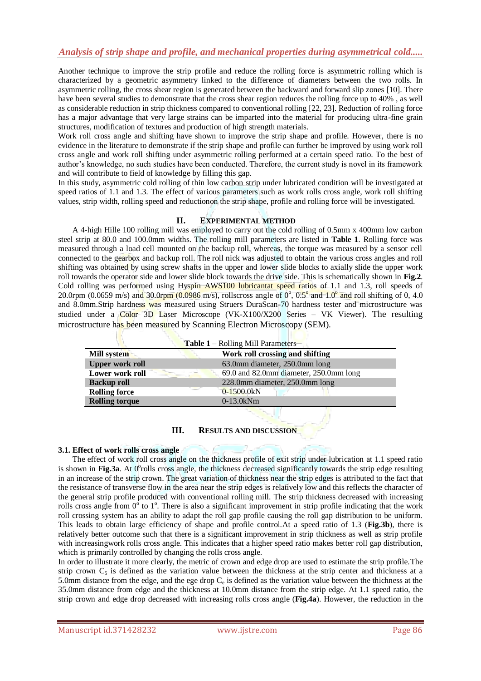Another technique to improve the strip profile and reduce the rolling force is asymmetric rolling which is characterized by a geometric asymmetry linked to the difference of diameters between the two rolls. In asymmetric rolling, the cross shear region is generated between the backward and forward slip zones [10]. There have been several studies to demonstrate that the cross shear region reduces the rolling force up to 40%, as well as considerable reduction in strip thickness compared to conventional rolling [22, 23]. Reduction of rolling force has a major advantage that very large strains can be imparted into the material for producing ultra-fine grain structures, modification of textures and production of high strength materials.

Work roll cross angle and shifting have shown to improve the strip shape and profile. However, there is no evidence in the literature to demonstrate if the strip shape and profile can further be improved by using work roll cross angle and work roll shifting under asymmetric rolling performed at a certain speed ratio. To the best of author's knowledge, no such studies have been conducted. Therefore, the current study is novel in its framework and will contribute to field of knowledge by filling this gap.

In this study, asymmetric cold rolling of thin low carbon strip under lubricated condition will be investigated at speed ratios of 1.1 and 1.3. The effect of various parameters such as work rolls cross angle, work roll shifting values, strip width, rolling speed and reductionon the strip shape, profile and rolling force will be investigated.

# **II. EXPERIMENTAL METHOD**

A 4-high Hille 100 rolling mill was employed to carry out the cold rolling of 0.5mm x 400mm low carbon steel strip at 80.0 and 100.0mm widths. The rolling mill parameters are listed in **Table 1**. Rolling force was measured through a load cell mounted on the backup roll, whereas, the torque was measured by a sensor cell connected to the gearbox and backup roll. The roll nick was adjusted to obtain the various cross angles and roll shifting was obtained by using screw shafts in the upper and lower slide blocks to axially slide the upper work roll towards the operator side and lower slide block towards the drive side. This is schematically shown in **Fig.2**. Cold rolling was performed using Hyspin AWS100 lubricantat speed ratios of 1.1 and 1.3, roll speeds of 20.0rpm (0.0659 m/s) and 30.0rpm (0.0986 m/s), rollscross angle of  $0^{\circ}$ , 0.5° and  $1.0^{\circ}$  and roll shifting of 0, 4.0 and 8.0mm.Strip hardness was measured using Struers DuraScan-70 hardness tester and microstructure was studied under a Color 3D Laser Microscope (VK-X100/X200 Series – VK Viewer). The resulting microstructure has been measured by Scanning Electron Microscopy (SEM).

|                        | Table 1 - Rolling Mill Parameters      |
|------------------------|----------------------------------------|
| Mill system            | Work roll crossing and shifting        |
| <b>Upper work roll</b> | 63.0mm diameter, 250.0mm long          |
| Lower work roll        | 69.0 and 82.0mm diameter, 250.0mm long |
| <b>Backup roll</b>     | 228.0mm diameter, 250.0mm long         |
| <b>Rolling force</b>   | $0-1500.0kN$                           |
| <b>Rolling torque</b>  | $0-13.0kNm$                            |

## **III. RESULTS AND DISCUSSION**

# **3.1. Effect of work rolls cross angle**

The effect of work roll cross angle on the thickness profile of exit strip under lubrication at 1.1 speed ratio is shown in Fig.3a. At 0°rolls cross angle, the thickness decreased significantly towards the strip edge resulting in an increase of the strip crown. The great variation of thickness near the strip edges is attributed to the fact that the resistance of transverse flow in the area near the strip edges is relatively low and this reflects the character of the general strip profile produced with conventional rolling mill. The strip thickness decreased with increasing rolls cross angle from  $0^{\circ}$  to  $1^{\circ}$ . There is also a significant improvement in strip profile indicating that the work roll crossing system has an ability to adapt the roll gap profile causing the roll gap distribution to be uniform. This leads to obtain large efficiency of shape and profile control.At a speed ratio of 1.3 (**Fig.3b**), there is relatively better outcome such that there is a significant improvement in strip thickness as well as strip profile with increasingwork rolls cross angle. This indicates that a higher speed ratio makes better roll gap distribution, which is primarily controlled by changing the rolls cross angle.

In order to illustrate it more clearly, the metric of crown and edge drop are used to estimate the strip profile.The strip crown  $C_5$  is defined as the variation value between the thickness at the strip center and thickness at a 5.0mm distance from the edge, and the ege drop  $C_e$  is defined as the variation value between the thichness at the 35.0mm distance from edge and the thickness at 10.0mm distance from the strip edge. At 1.1 speed ratio, the strip crown and edge drop decreased with increasing rolls cross angle (**Fig.4a**). However, the reduction in the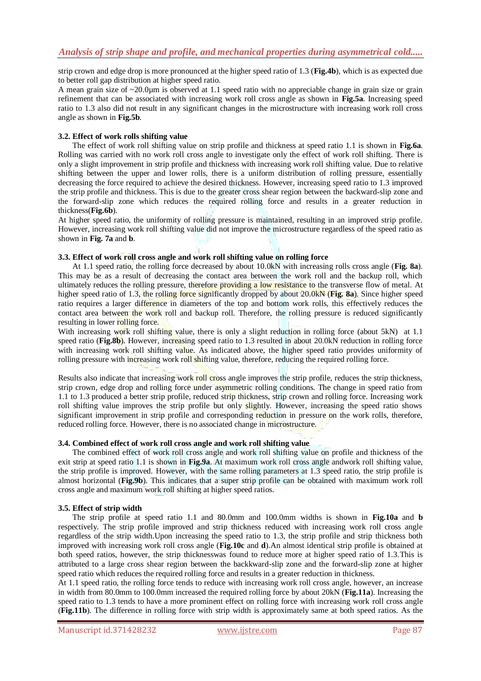strip crown and edge drop is more pronounced at the higher speed ratio of 1.3 (**Fig.4b**), which is as expected due to better roll gap distribution at higher speed ratio.

A mean grain size of ~20.0µm is observed at 1.1 speed ratio with no appreciable change in grain size or grain refinement that can be associated with increasing work roll cross angle as shown in **Fig.5a**. Increasing speed ratio to 1.3 also did not result in any significant changes in the microstructure with increasing work roll cross angle as shown in **Fig.5b**.

#### **3.2. Effect of work rolls shifting value**

The effect of work roll shifting value on strip profile and thickness at speed ratio 1.1 is shown in **Fig.6a**. Rolling was carried with no work roll cross angle to investigate only the effect of work roll shifting. There is only a slight improvement in strip profile and thickness with increasing work roll shifting value. Due to relative shifting between the upper and lower rolls, there is a uniform distribution of rolling pressure, essentially decreasing the force required to achieve the desired thickness. However, increasing speed ratio to 1.3 improved the strip profile and thickness. This is due to the greater cross shear region between the backward-slip zone and the forward-slip zone which reduces the required rolling force and results in a greater reduction in thickness(**Fig.6b**).

At higher speed ratio, the uniformity of rolling pressure is maintained, resulting in an improved strip profile. However, increasing work roll shifting value did not improve the microstructure regardless of the speed ratio as shown in **Fig. 7a** and **b**.

## **3.3. Effect of work roll cross angle and work roll shifting value on rolling force**

At 1.1 speed ratio, the rolling force decreased by about 10.0kN with increasing rolls cross angle (**Fig. 8a**). This may be as a result of decreasing the contact area between the work roll and the backup roll, which ultimately reduces the rolling pressure, therefore providing a low resistance to the transverse flow of metal. At higher speed ratio of 1.3, the rolling force significantly dropped by about 20.0kN (**Fig. 8a**). Since higher speed ratio requires a larger difference in diameters of the top and bottom work rolls, this effectively reduces the contact area between the work roll and backup roll. Therefore, the rolling pressure is reduced significantly resulting in lower rolling force.

With increasing work roll shifting value, there is only a slight reduction in rolling force (about 5kN) at 1.1 speed ratio (**Fig.8b**). However, increasing speed ratio to 1.3 resulted in about 20.0kN reduction in rolling force with increasing work roll shifting value. As indicated above, the higher speed ratio provides uniformity of rolling pressure with increasing work roll shifting value, therefore, reducing the required rolling force.

Results also indicate that increasing work roll cross angle improves the strip profile, reduces the strip thickness, strip crown, edge drop and rolling force under asymmetric rolling conditions. The change in speed ratio from 1.1 to 1.3 produced a better strip profile, reduced strip thickness, strip crown and rolling force. Increasing work roll shifting value improves the strip profile but only slightly. However, increasing the speed ratio shows significant improvement in strip profile and corresponding reduction in pressure on the work rolls, therefore, reduced rolling force. However, there is no associated change in microstructure.

#### **3.4. Combined effect of work roll cross angle and work roll shifting value**

The combined effect of work roll cross angle and work roll shifting value on profile and thickness of the exit strip at speed ratio 1.1 is shown in **Fig.9a**. At maximum work roll cross angle andwork roll shifting value, the strip profile is improved. However, with the same rolling parameters at 1.3 speed ratio, the strip profile is almost horizontal (**Fig.9b**). This indicates that a super strip profile can be obtained with maximum work roll cross angle and maximum work roll shifting at higher speed ratios.

#### **3.5. Effect of strip width**

The strip profile at speed ratio 1.1 and 80.0mm and 100.0mm widths is shown in **Fig.10a** and **b** respectively. The strip profile improved and strip thickness reduced with increasing work roll cross angle regardless of the strip width.Upon increasing the speed ratio to 1.3, the strip profile and strip thickness both improved with increasing work roll cross angle (**Fig.10c** and **d**).An almost identical strip profile is obtained at both speed ratios, however, the strip thicknesswas found to reduce more at higher speed ratio of 1.3.This is attributed to a large cross shear region between the backkward-slip zone and the forward-slip zone at higher speed ratio which reduces the required rolling force and results in a greater reduction in thickness.

At 1.1 speed ratio, the rolling force tends to reduce with increasing work roll cross angle, however, an increase in width from 80.0mm to 100.0mm increased the required rolling force by about 20kN (**Fig.11a**). Increasing the speed ratio to 1.3 tends to have a more prominent effect on rolling force with increasing work roll cross angle (**Fig.11b**). The difference in rolling force with strip width is approximately same at both speed ratios. As the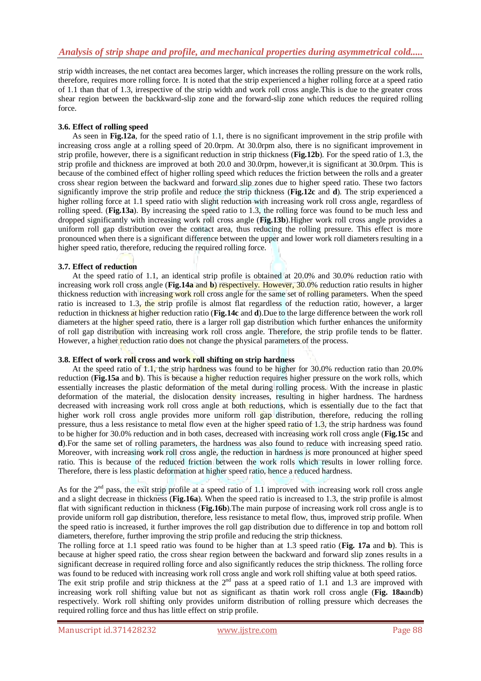strip width increases, the net contact area becomes larger, which increases the rolling pressure on the work rolls, therefore, requires more rolling force. It is noted that the strip experienced a higher rolling force at a speed ratio of 1.1 than that of 1.3, irrespective of the strip width and work roll cross angle.This is due to the greater cross shear region between the backkward-slip zone and the forward-slip zone which reduces the required rolling force.

# **3.6. Effect of rolling speed**

As seen in **Fig.12a**, for the speed ratio of 1.1, there is no significant improvement in the strip profile with increasing cross angle at a rolling speed of 20.0rpm. At 30.0rpm also, there is no significant improvement in strip profile, however, there is a significant reduction in strip thickness (**Fig.12b**). For the speed ratio of 1.3, the strip profile and thickness are improved at both 20.0 and 30.0rpm, however,it is significant at 30.0rpm. This is because of the combined effect of higher rolling speed which reduces the friction between the rolls and a greater cross shear region between the backward and forward slip zones due to higher speed ratio. These two factors significantly improve the strip profile and reduce the strip thickness (**Fig.12c** and **d**). The strip experienced a higher rolling force at 1.1 speed ratio with slight reduction with increasing work roll cross angle, regardless of rolling speed. (**Fig.13a**). By increasing the speed ratio to 1.3, the rolling force was found to be much less and dropped significantly with increasing work roll cross angle (**Fig.13b**).Higher work roll cross angle provides a uniform roll gap distribution over the contact area, thus reducing the rolling pressure. This effect is more pronounced when there is a significant difference between the upper and lower work roll diameters resulting in a higher speed ratio, therefore, reducing the required rolling force.

## **3.7. Effect of reduction**

At the speed ratio of 1.1, an identical strip profile is obtained at 20.0% and 30.0% reduction ratio with increasing work roll cross angle (**Fig.14a** and **b**) respectively. However, 30.0% reduction ratio results in higher thickness reduction with increasing work roll cross angle for the same set of rolling parameters. When the speed ratio is increased to 1.3, the strip profile is almost flat regardless of the reduction ratio, however, a larger reduction in thickness at higher reduction ratio (**Fig.14c** and **d**).Due to the large difference between the work roll diameters at the higher speed ratio, there is a larger roll gap distribution which further enhances the uniformity of roll gap distribution with increasing work roll cross angle. Therefore, the strip profile tends to be flatter. However, a higher reduction ratio does not change the physical parameters of the process.

#### **3.8. Effect of work roll cross and work roll shifting on strip hardness**

At the speed ratio of 1.1, the strip hardness was found to be higher for 30.0% reduction ratio than 20.0% reduction (**Fig.15a** and **b**). This is because a higher reduction requires higher pressure on the work rolls, which essentially increases the plastic deformation of the metal during rolling process. With the increase in plastic deformation of the material, the dislocation density increases, resulting in higher hardness. The hardness decreased with increasing work roll cross angle at both reductions, which is essentially due to the fact that higher work roll cross angle provides more uniform roll gap distribution, therefore, reducing the rolling pressure, thus a less resistance to metal flow even at the higher speed ratio of 1.3, the strip hardness was found to be higher for 30.0% reduction and in both cases, decreased with increasing work roll cross angle (**Fig.15c** and **d**).For the same set of rolling parameters, the hardness was also found to reduce with increasing speed ratio. Moreover, with increasing work roll cross angle, the reduction in hardness is more pronounced at higher speed ratio. This is because of the reduced friction between the work rolls which results in lower rolling force. Therefore, there is less plastic deformation at higher speed ratio, hence a reduced hardness.

As for the  $2<sup>nd</sup>$  pass, the exit strip profile at a speed ratio of 1.1 improved with increasing work roll cross angle and a slight decrease in thickness (**Fig.16a**). When the speed ratio is increased to 1.3, the strip profile is almost flat with significant reduction in thickness (**Fig.16b**).The main purpose of increasing work roll cross angle is to provide uniform roll gap distribution, therefore, less resistance to metal flow, thus, improved strip profile. When the speed ratio is increased, it further improves the roll gap distribution due to difference in top and bottom roll diameters, therefore, further improving the strip profile and reducing the strip thickness.

The rolling force at 1.1 speed ratio was found to be higher than at 1.3 speed ratio (**Fig. 17a** and **b**). This is because at higher speed ratio, the cross shear region between the backward and forward slip zones results in a significant decrease in required rolling force and also significantly reduces the strip thickness. The rolling force was found to be reduced with increasing work roll cross angle and work roll shifting value at both speed ratios.

The exit strip profile and strip thickness at the  $2<sup>nd</sup>$  pass at a speed ratio of 1.1 and 1.3 are improved with increasing work roll shifting value but not as significant as thatin work roll cross angle (**Fig. 18a**and**b**) respectively. Work roll shifting only provides uniform distribution of rolling pressure which decreases the required rolling force and thus has little effect on strip profile.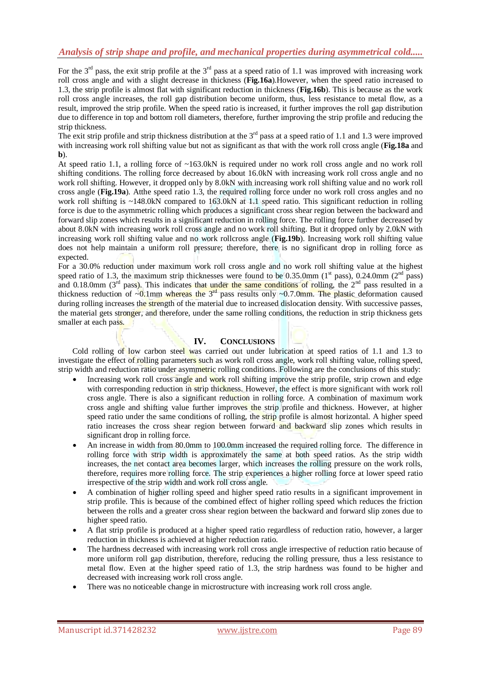For the  $3<sup>rd</sup>$  pass, the exit strip profile at the  $3<sup>rd</sup>$  pass at a speed ratio of 1.1 was improved with increasing work roll cross angle and with a slight decrease in thickness (**Fig.16a**).However, when the speed ratio increased to 1.3, the strip profile is almost flat with significant reduction in thickness (**Fig.16b**). This is because as the work roll cross angle increases, the roll gap distribution become uniform, thus, less resistance to metal flow, as a result, improved the strip profile. When the speed ratio is increased, it further improves the roll gap distribution due to difference in top and bottom roll diameters, therefore, further improving the strip profile and reducing the strip thickness.

The exit strip profile and strip thickness distribution at the  $3<sup>rd</sup>$  pass at a speed ratio of 1.1 and 1.3 were improved with increasing work roll shifting value but not as significant as that with the work roll cross angle (**Fig.18a** and **b**).

At speed ratio 1.1, a rolling force of ~163.0kN is required under no work roll cross angle and no work roll shifting conditions. The rolling force decreased by about 16.0kN with increasing work roll cross angle and no work roll shifting. However, it dropped only by 8.0kN with increasing work roll shifting value and no work roll cross angle (**Fig.19a**). Atthe speed ratio 1.3, the required rolling force under no work roll cross angles and no work roll shifting is ~148.0kN compared to 163.0kN at 1.1 speed ratio. This significant reduction in rolling force is due to the asymmetric rolling which produces a significant cross shear region between the backward and forward slip zones which results in a significant reduction in rolling force. The rolling force further decreased by about 8.0kN with increasing work roll cross angle and no work roll shifting. But it dropped only by 2.0kN with increasing work roll shifting value and no work rollcross angle (**Fig.19b**). Increasing work roll shifting value does not help maintain a uniform roll pressure; therefore, there is no significant drop in rolling force as expected.

For a 30.0% reduction under maximum work roll cross angle and no work roll shifting value at the highest speed ratio of 1.3, the maximum strip thicknesses were found to be 0.35.0mm ( $1<sup>st</sup>$  pass), 0.24.0mm ( $2<sup>nd</sup>$  pass) and 0.18.0mm ( $3<sup>rd</sup>$  pass). This indicates that under the same conditions of rolling, the  $2<sup>nd</sup>$  pass resulted in a thickness reduction of  $\sim 0.1$ mm whereas the 3<sup>rd</sup> pass results only  $\sim 0.7.0$ mm. The plastic deformation caused during rolling increases the strength of the material due to increased dislocation density. With successive passes, the material gets stronger, and therefore, under the same rolling conditions, the reduction in strip thickness gets smaller at each pass.

# **IV. CONCLUSIONS**

Cold rolling of low carbon steel was carried out under lubrication at speed ratios of 1.1 and 1.3 to investigate the effect of rolling parameters such as work roll cross angle, work roll shifting value, rolling speed, strip width and reduction ratio under asymmetric rolling conditions. Following are the conclusions of this study:

- Increasing work roll cross angle and work roll shifting improve the strip profile, strip crown and edge with corresponding reduction in strip thickness. However, the effect is more significant with work roll cross angle. There is also a significant reduction in rolling force. A combination of maximum work cross angle and shifting value further improves the strip profile and thickness. However, at higher speed ratio under the same conditions of rolling, the strip profile is almost horizontal. A higher speed ratio increases the cross shear region between forward and backward slip zones which results in significant drop in rolling force.
- An increase in width from 80.0mm to 100.0mm increased the required rolling force. The difference in rolling force with strip width is approximately the same at both speed ratios. As the strip width increases, the net contact area becomes larger, which increases the rolling pressure on the work rolls, therefore, requires more rolling force. The strip experiences a higher rolling force at lower speed ratio irrespective of the strip width and work roll cross angle.
- A combination of higher rolling speed and higher speed ratio results in a significant improvement in strip profile. This is because of the combined effect of higher rolling speed which reduces the friction between the rolls and a greater cross shear region between the backward and forward slip zones due to higher speed ratio.
- A flat strip profile is produced at a higher speed ratio regardless of reduction ratio, however, a larger reduction in thickness is achieved at higher reduction ratio.
- The hardness decreased with increasing work roll cross angle irrespective of reduction ratio because of more uniform roll gap distribution, therefore, reducing the rolling pressure, thus a less resistance to metal flow. Even at the higher speed ratio of 1.3, the strip hardness was found to be higher and decreased with increasing work roll cross angle.
- There was no noticeable change in microstructure with increasing work roll cross angle.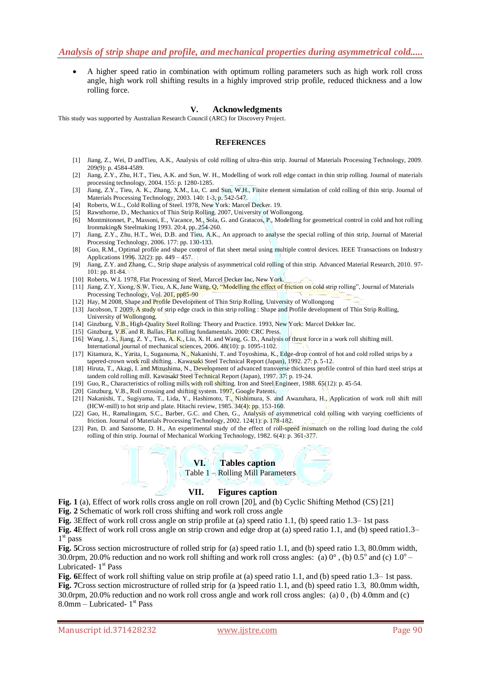A higher speed ratio in combination with optimum rolling parameters such as high work roll cross angle, high work roll shifting results in a highly improved strip profile, reduced thickness and a low rolling force.

## **V. Acknowledgments**

This study was supported by Australian Research Council (ARC) for Discovery Project.

#### **REFERENCES**

- [1] Jiang, Z., Wei, D andTieu, A.K., Analysis of cold rolling of ultra-thin strip. Journal of Materials Processing Technology, 2009. 209(9): p. 4584-4589.
- [2] Jiang, Z.Y., Zhu, H.T., Tieu, A.K. and Sun, W. H., Modelling of work roll edge contact in thin strip rolling. Journal of materials processing technology, 2004. 155: p. 1280-1285.
- [3] Jiang, Z.Y., Tieu, A. K., Zhang, X.M., Lu, C. and Sun, W.H., Finite element simulation of cold rolling of thin strip. Journal of Materials Processing Technology, 2003. 140: 1-3, p. 542-547.
- [4] Roberts, W.L., Cold Rolling of Steel. 1978, New York: Marcel Decker. 19.
- [5] Rawsthorne, D., Mechanics of Thin Strip Rolling. 2007, University of Wollongong.
- [6] Montmitonnet, P., Massoni, E., Vacance, M., Sola, G. and Gratacos, P., Modelling for geometrical control in cold and hot rolling Ironmaking& Steelmaking 1993. 20:4, pp. 254-260.
- [7] Jiang, Z.Y., Zhu, H.T., Wei, D.B. and Tieu, A.K., An approach to analyse the special rolling of thin strip, Journal of Material Processing Technology, 2006. 177: pp. 130-133.
- [8] Guo, R.M., Optimal profile and shape control of flat sheet metal using multiple control devices. IEEE Transactions on Industry Applications 1996. 32(2): pp. 449 – 457.
- [9] Jiang, Z.Y. and Zhang, C., Strip shape analysis of asymmetrical cold rolling of thin strip. Advanced Material Research, 2010. 97- 101: pp. 81-84.
- [10] Roberts, W.L 1978, Flat Processing of Steel, Marcel Decker Inc, New York.
- [11] Jiang, Z.Y, Xiong, S.W, Tieu, A.K, Jane Wang, Q, "Modelling the effect of friction on cold strip rolling", Journal of Materials Processing Technology, Vol. 201, pp85-90
- [12] Hay, M 2008, Shape and Profile Development of Thin Strip Rolling, University of Wollongong
- [13] Jacobson, T 2009, A study of strip edge crack in thin strip rolling : Shape and Profile development of Thin Strip Rolling, University of Wollongong.
- [14] Ginzburg, V.B., High-Quality Steel Rolling: Theory and Practice. 1993, New York: Marcel Dekker Inc.
- [15] Ginzburg, V.B. and R. Ballas, Flat rolling fundamentals. 2000: CRC Press.
- [16] Wang, J. S., Jiang, Z. Y., Tieu, A. K., Liu, X. H. and Wang, G. D., Analysis of thrust force in a work roll shifting mill. International journal of mechanical sciences, 2006. 48(10): p. 1095-1102.
- [17] Kitamura, K., Yarita, I., Suganuma, N., Nakanishi, T. and Toyoshima, K., Edge-drop control of hot and cold rolled strips by a tapered-crown work roll shifting. . Kawasaki Steel Technical Report (Japan), 1992. 27: p. 5-12.
- [18] Hiruta, T., Akagi, I. and Mizushima, N., Development of advanced transverse thickness profile control of thin hard steel strips at tandem cold rolling mill. Kawasaki Steel Technical Report (Japan), 1997. 37: p. 19-24.
- [19] Guo, R., Characteristics of rolling mills with roll shifting. Iron and Steel Engineer, 1988. 65(12): p. 45-54.
- [20] Ginzburg, V.B., Roll crossing and shifting system. 1997, Google Patents.
- [21] Nakanishi, T., Sugiyama, T., Lida, Y., Hashimoto, T., Nishimura, S. and Awazuhara, H., Application of work roll shift mill (HCW-mill) to hot strip and plate. Hitachi review, 1985. 34(4): pp. 153-160.
- [22] Gao, H., Ramalingam, S.C., Barber, G.C. and Chen, G., Analysis of asymmetrical cold rolling with varying coefficients of friction. Journal of Materials Processing Technology, 2002. 124(1): p. 178-182.
- [23] Pan, D. and Sansome, D. H., An experimental study of the effect of roll-speed mismatch on the rolling load during the cold rolling of thin strip. Journal of Mechanical Working Technology, 1982. 6(4): p. 361-377.

#### **VI. Tables caption**

Table 1 – Rolling Mill Parameters

#### **VII. Figures caption**

**Fig. 1** (a), Effect of work rolls cross angle on roll crown [20], and (b) Cyclic Shifting Method (CS) [21]

**Fig. 2** Schematic of work roll cross shifting and work roll cross angle

**Fig.** 3Effect of work roll cross angle on strip profile at (a) speed ratio 1.1, (b) speed ratio 1.3– 1st pass

**Fig. 4**Effect of work roll cross angle on strip crown and edge drop at (a) speed ratio 1.1, and (b) speed ratio1.3– 1<sup>st</sup> pass

**Fig. 5**Cross section microstructure of rolled strip for (a) speed ratio 1.1, and (b) speed ratio 1.3, 80.0mm width, 30.0rpm, 20.0% reduction and no work roll shifting and work roll cross angles: (a)  $0^\circ$ , (b)  $0.5^\circ$  and (c)  $1.0^\circ$  – Lubricated- 1<sup>st</sup> Pass

**Fig. 6**Effect of work roll shifting value on strip profile at (a) speed ratio 1.1, and (b) speed ratio 1.3–1st pass. **Fig. 7**Cross section microstructure of rolled strip for (a )speed ratio 1.1, and (b) speed ratio 1.3, 80.0mm width, 30.0rpm, 20.0% reduction and no work roll cross angle and work roll cross angles: (a) 0 , (b) 4.0mm and (c) 8.0mm – Lubricated- 1 st Pass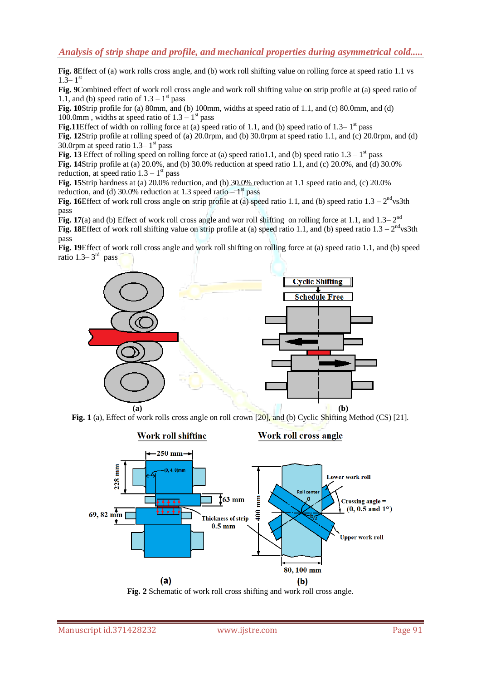**Fig. 8**Effect of (a) work rolls cross angle, and (b) work roll shifting value on rolling force at speed ratio 1.1 vs  $1.\bar{3} - 1$ <sup>st</sup>

**Fig. 9**Combined effect of work roll cross angle and work roll shifting value on strip profile at (a) speed ratio of 1.1, and (b) speed ratio of  $1.3 - 1<sup>st</sup>$  pass

**Fig. 10**Strip profile for (a) 80mm, and (b) 100mm, widths at speed ratio of 1.1, and (c) 80.0mm, and (d) 100.0mm, widths at speed ratio of  $1.3 - 1<sup>st</sup>$  pass

**Fig.11**Effect of width on rolling force at (a) speed ratio of 1.1, and (b) speed ratio of  $1.3-1<sup>st</sup>$  pass **Fig. 12**Strip profile at rolling speed of (a) 20.0rpm, and (b) 30.0rpm at speed ratio 1.1, and (c) 20.0rpm, and (d) 30.0rpm at speed ratio  $1.3-1<sup>st</sup>$  pass

**Fig. 13** Effect of rolling speed on rolling force at (a) speed ratio1.1, and (b) speed ratio  $1.3 - 1<sup>st</sup>$  pass **Fig. 14**Strip profile at (a) 20.0%, and (b) 30.0% reduction at speed ratio 1.1, and (c) 20.0%, and (d) 30.0% reduction, at speed ratio  $1.3 - 1<sup>st</sup>$  pass

**Fig. 15**Strip hardness at (a) 20.0% reduction, and (b) 30.0% reduction at 1.1 speed ratio and, (c) 20.0% reduction, and (d) 30.0% reduction at 1.3 speed ratio  $-1<sup>st</sup>$  pass

**Fig. 16**Effect of work roll cross angle on strip profile at (a) speed ratio 1.1, and (b) speed ratio  $1.3 - 2<sup>nd</sup>$ vs3th pass

**Fig. 17**(a) and (b) Effect of work roll cross angle and wor roll shifting on rolling force at 1.1, and  $1.3-2<sup>nd</sup>$ **Fig. 18**Effect of work roll shifting value on strip profile at (a) speed ratio 1.1, and (b) speed ratio  $1.3 - 2<sup>nd</sup>$ vs3th pass

**Fig. 19**Effect of work roll cross angle and work roll shifting on rolling force at (a) speed ratio 1.1, and (b) speed ratio 1.3– $3<sup>rd</sup>$  pass







**Fig. 2** Schematic of work roll cross shifting and work roll cross angle.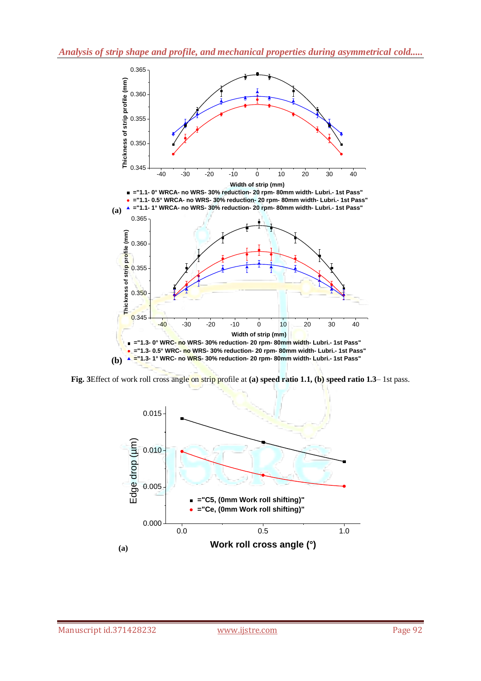

**Fig. 3**Effect of work roll cross angle on strip profile at **(a) speed ratio 1.1, (b) speed ratio 1.3**– 1st pass.

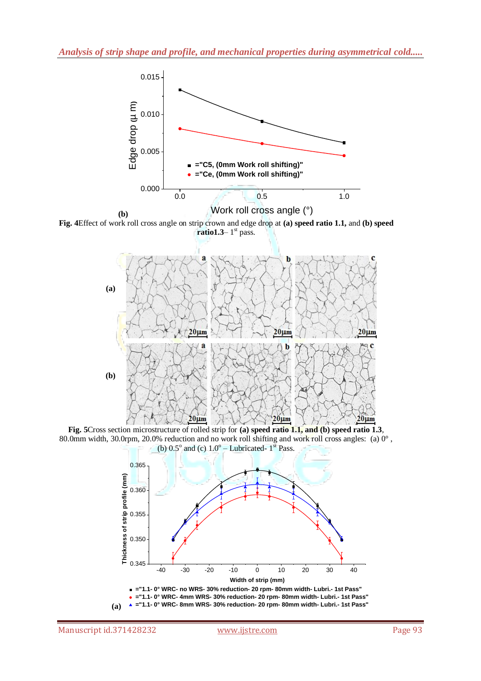

**(b) Fig. 4**Effect of work roll cross angle on strip crown and edge drop at **(a) speed ratio 1.1,** and **(b) speed**   $ratio1.3-1<sup>st</sup> pass.$ 



**Fig. 5**Cross section microstructure of rolled strip for **(a) speed ratio 1.1, and (b) speed ratio 1.3**, 80.0mm width, 30.0rpm, 20.0% reduction and no work roll shifting and work roll cross angles: (a) 0° , (b)  $0.5^{\circ}$  and (c)  $1.0^{\circ}$  – Lubricated-  $1^{\text{st}}$  Pass.



**(a)**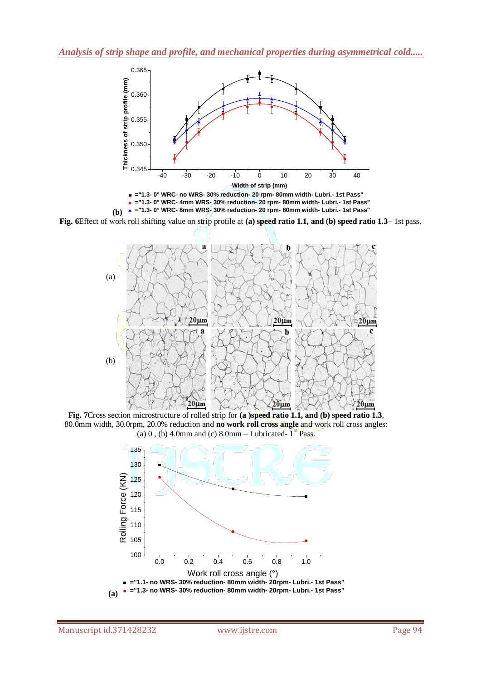



**Fig. 6**Effect of work roll shifting value on strip profile at **(a) speed ratio 1.1, and (b) speed ratio 1.3**– 1st pass.



**Fig. 7**Cross section microstructure of rolled strip for **(a )speed ratio 1.1, and (b) speed ratio 1.3**, 80.0mm width, 30.0rpm, 20.0% reduction and **no work roll cross angle** and work roll cross angles: (a) 0, (b) 4.0mm and (c)  $8.0$ mm – Lubricated-  $1<sup>st</sup>$  Pass.

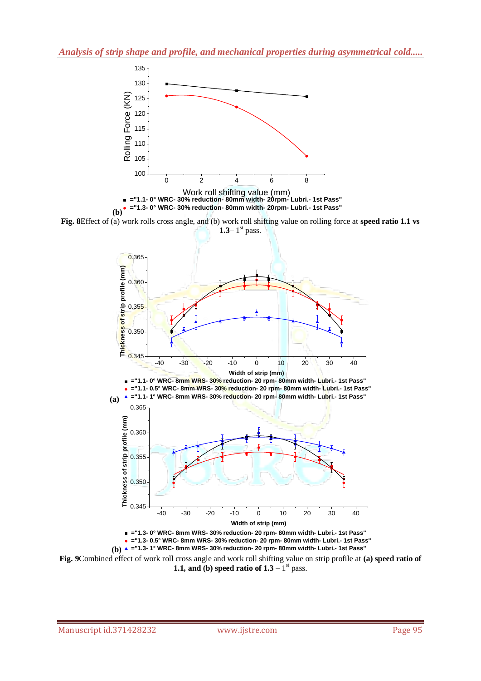

**(b)**

**Fig. 8**Effect of (a) work rolls cross angle, and (b) work roll shifting value on rolling force at **speed ratio 1.1 vs 1.3**–1 $\mathrm{st}$  pass.





**Fig. 9**Combined effect of work roll cross angle and work roll shifting value on strip profile at **(a) speed ratio of 1.1, and (b) speed ratio of**  $1.3 - 1$ **<sup>st</sup> pass.**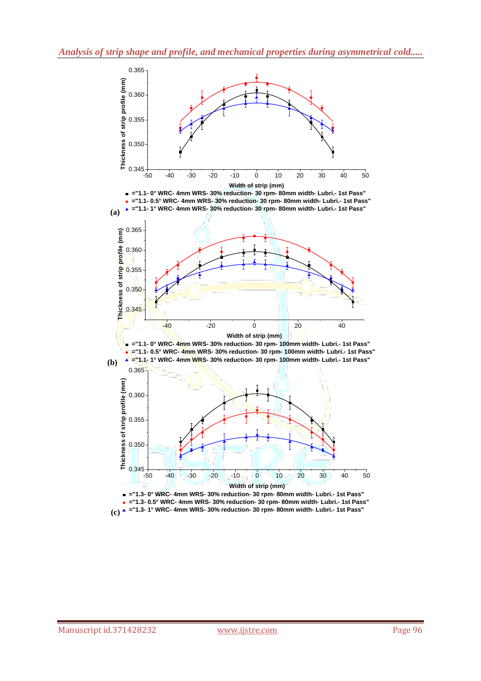

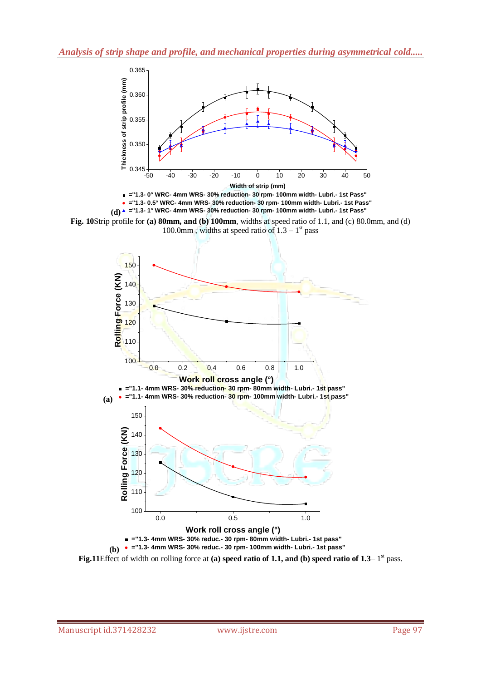







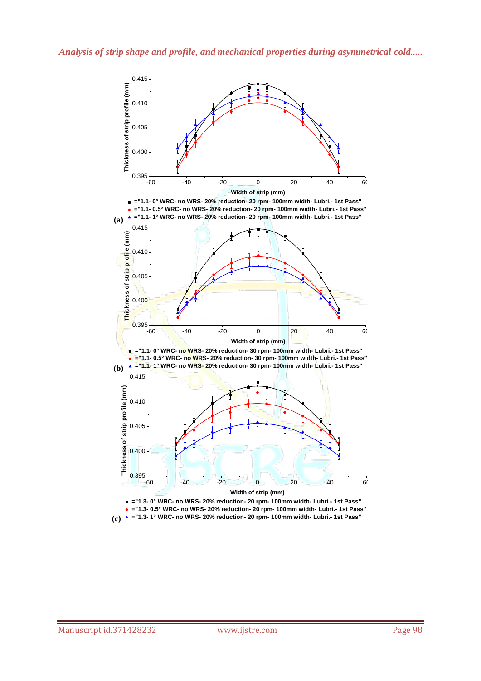

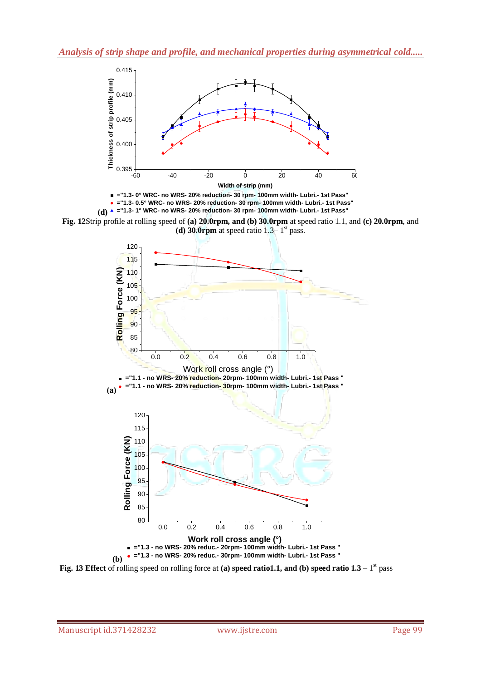



**Fig. 12**Strip profile at rolling speed of **(a) 20.0rpm, and (b) 30.0rpm** at speed ratio 1.1, and **(c) 20.0rpm**, and (d) 30.0 $\mathbf{r}$ pm at speed ratio 1.3– 1<sup>st</sup> pass.



**Fig. 13 Effect** of rolling speed on rolling force at (a) speed ratio1.1, and (b) speed ratio  $1.3 - 1<sup>st</sup>$  pass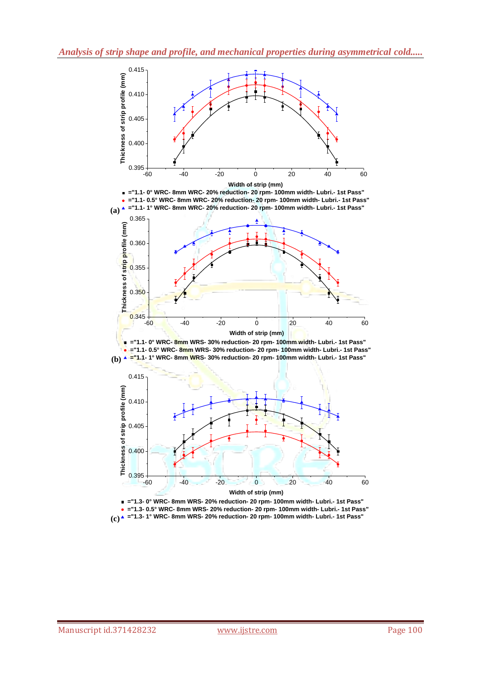

**Width of strip (mm)**

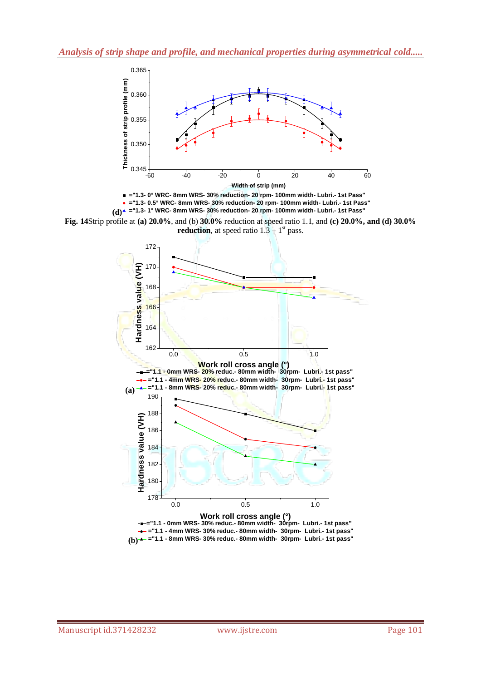



**Fig. 14**Strip profile at **(a) 20.0%**, and (b) **30.0%** reduction at speed ratio 1.1, and **(c) 20.0%, and (d) 30.0% reduction**, at speed ratio  $1.3 - 1$ <sup>st</sup> pass.

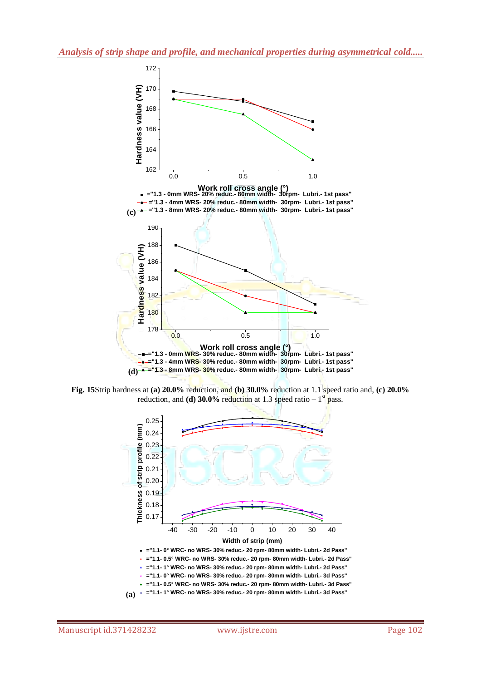

**Fig. 15**Strip hardness at **(a) 20.0%** reduction, and **(b) 30.0%** reduction at 1.1 speed ratio and, **(c) 20.0%** reduction, and **(d) 30.0%** reduction at 1.3 speed ratio  $-1$ <sup>st</sup> pass.

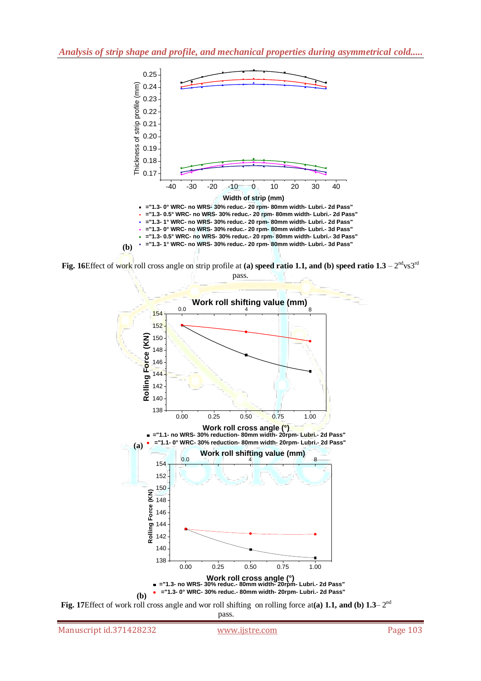

**Fig. 16**Effect of work roll cross angle on strip profile at (a) speed ratio 1.1, and (b) speed ratio  $1.3 - 2^{nd}$ vs $3^{rd}$ pass.



pass.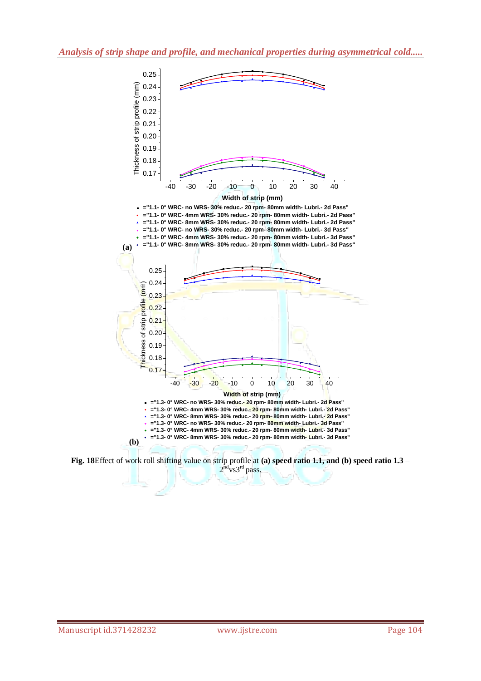

**Fig. 18**Effect of work roll shifting value on strip profile at **(a) speed ratio 1.1, and (b) speed ratio 1.3** –  $2^{\text{nd}}$ vs $3^{\text{rd}}$  pass.